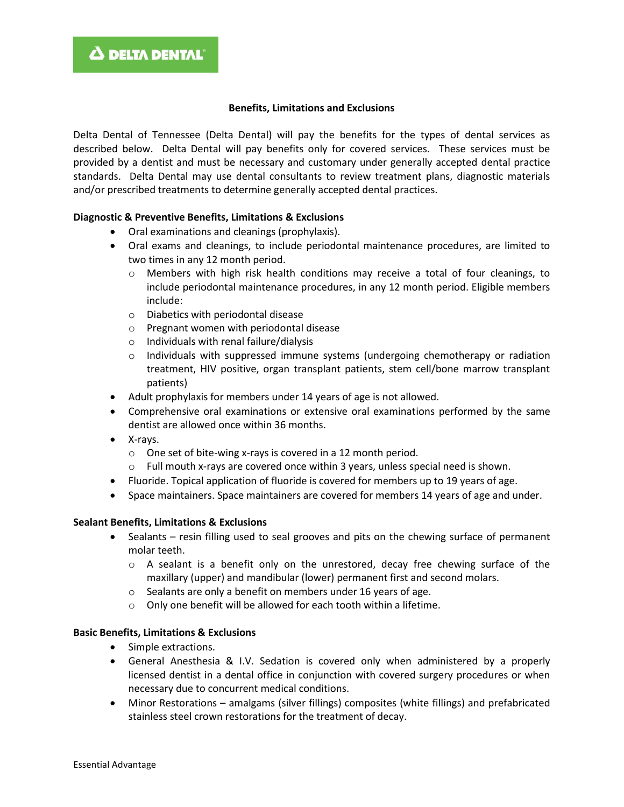#### **Benefits, Limitations and Exclusions**

Delta Dental of Tennessee (Delta Dental) will pay the benefits for the types of dental services as described below. Delta Dental will pay benefits only for covered services. These services must be provided by a dentist and must be necessary and customary under generally accepted dental practice standards. Delta Dental may use dental consultants to review treatment plans, diagnostic materials and/or prescribed treatments to determine generally accepted dental practices.

#### **Diagnostic & Preventive Benefits, Limitations & Exclusions**

- Oral examinations and cleanings (prophylaxis).
- Oral exams and cleanings, to include periodontal maintenance procedures, are limited to two times in any 12 month period.
	- o Members with high risk health conditions may receive a total of four cleanings, to include periodontal maintenance procedures, in any 12 month period. Eligible members include:
	- o Diabetics with periodontal disease
	- o Pregnant women with periodontal disease
	- o Individuals with renal failure/dialysis
	- o Individuals with suppressed immune systems (undergoing chemotherapy or radiation treatment, HIV positive, organ transplant patients, stem cell/bone marrow transplant patients)
- Adult prophylaxis for members under 14 years of age is not allowed.
- Comprehensive oral examinations or extensive oral examinations performed by the same dentist are allowed once within 36 months.
- X-rays.
	- o One set of bite-wing x-rays is covered in a 12 month period.
	- $\circ$  Full mouth x-rays are covered once within 3 years, unless special need is shown.
- Fluoride. Topical application of fluoride is covered for members up to 19 years of age.
- Space maintainers. Space maintainers are covered for members 14 years of age and under.

#### **Sealant Benefits, Limitations & Exclusions**

- Sealants resin filling used to seal grooves and pits on the chewing surface of permanent molar teeth.
	- $\circ$  A sealant is a benefit only on the unrestored, decay free chewing surface of the maxillary (upper) and mandibular (lower) permanent first and second molars.
	- o Sealants are only a benefit on members under 16 years of age.
	- o Only one benefit will be allowed for each tooth within a lifetime.

#### **Basic Benefits, Limitations & Exclusions**

- Simple extractions.
- General Anesthesia & I.V. Sedation is covered only when administered by a properly licensed dentist in a dental office in conjunction with covered surgery procedures or when necessary due to concurrent medical conditions.
- Minor Restorations amalgams (silver fillings) composites (white fillings) and prefabricated stainless steel crown restorations for the treatment of decay.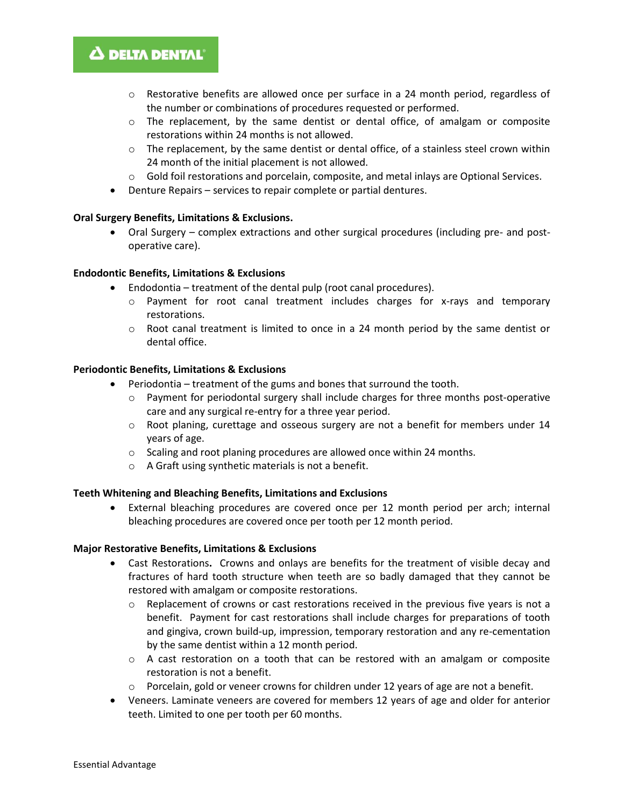## **A DELTA DENTAL**

- $\circ$  Restorative benefits are allowed once per surface in a 24 month period, regardless of the number or combinations of procedures requested or performed.
- o The replacement, by the same dentist or dental office, of amalgam or composite restorations within 24 months is not allowed.
- $\circ$  The replacement, by the same dentist or dental office, of a stainless steel crown within 24 month of the initial placement is not allowed.
- $\circ$  Gold foil restorations and porcelain, composite, and metal inlays are Optional Services.
- Denture Repairs services to repair complete or partial dentures.

#### **Oral Surgery Benefits, Limitations & Exclusions.**

• Oral Surgery – complex extractions and other surgical procedures (including pre- and postoperative care).

#### **Endodontic Benefits, Limitations & Exclusions**

- Endodontia treatment of the dental pulp (root canal procedures).
	- o Payment for root canal treatment includes charges for x-rays and temporary restorations.
	- $\circ$  Root canal treatment is limited to once in a 24 month period by the same dentist or dental office.

#### **Periodontic Benefits, Limitations & Exclusions**

- Periodontia treatment of the gums and bones that surround the tooth.
	- o Payment for periodontal surgery shall include charges for three months post-operative care and any surgical re-entry for a three year period.
	- o Root planing, curettage and osseous surgery are not a benefit for members under 14 years of age.
	- o Scaling and root planing procedures are allowed once within 24 months.
	- o A Graft using synthetic materials is not a benefit.

#### **Teeth Whitening and Bleaching Benefits, Limitations and Exclusions**

• External bleaching procedures are covered once per 12 month period per arch; internal bleaching procedures are covered once per tooth per 12 month period.

#### **Major Restorative Benefits, Limitations & Exclusions**

- Cast Restorations**.** Crowns and onlays are benefits for the treatment of visible decay and fractures of hard tooth structure when teeth are so badly damaged that they cannot be restored with amalgam or composite restorations.
	- $\circ$  Replacement of crowns or cast restorations received in the previous five years is not a benefit. Payment for cast restorations shall include charges for preparations of tooth and gingiva, crown build-up, impression, temporary restoration and any re-cementation by the same dentist within a 12 month period.
	- $\circ$  A cast restoration on a tooth that can be restored with an amalgam or composite restoration is not a benefit.
	- $\circ$  Porcelain, gold or veneer crowns for children under 12 years of age are not a benefit.
- Veneers. Laminate veneers are covered for members 12 years of age and older for anterior teeth. Limited to one per tooth per 60 months.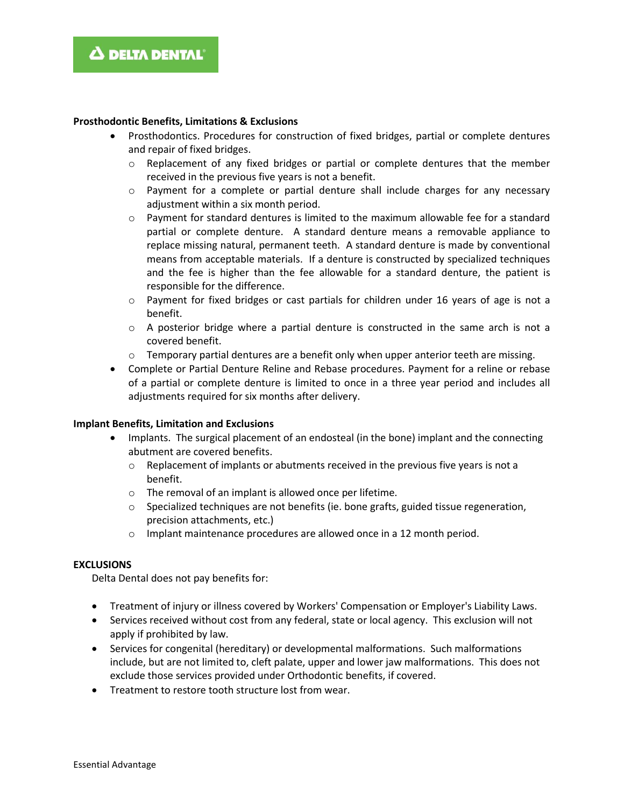#### **Prosthodontic Benefits, Limitations & Exclusions**

- Prosthodontics. Procedures for construction of fixed bridges, partial or complete dentures and repair of fixed bridges.
	- $\circ$  Replacement of any fixed bridges or partial or complete dentures that the member received in the previous five years is not a benefit.
	- o Payment for a complete or partial denture shall include charges for any necessary adjustment within a six month period.
	- $\circ$  Payment for standard dentures is limited to the maximum allowable fee for a standard partial or complete denture. A standard denture means a removable appliance to replace missing natural, permanent teeth. A standard denture is made by conventional means from acceptable materials. If a denture is constructed by specialized techniques and the fee is higher than the fee allowable for a standard denture, the patient is responsible for the difference.
	- $\circ$  Payment for fixed bridges or cast partials for children under 16 years of age is not a benefit.
	- $\circ$  A posterior bridge where a partial denture is constructed in the same arch is not a covered benefit.
	- $\circ$  Temporary partial dentures are a benefit only when upper anterior teeth are missing.
- Complete or Partial Denture Reline and Rebase procedures. Payment for a reline or rebase of a partial or complete denture is limited to once in a three year period and includes all adjustments required for six months after delivery.

### **Implant Benefits, Limitation and Exclusions**

- Implants. The surgical placement of an endosteal (in the bone) implant and the connecting abutment are covered benefits.
	- $\circ$  Replacement of implants or abutments received in the previous five years is not a benefit.
	- o The removal of an implant is allowed once per lifetime.
	- $\circ$  Specialized techniques are not benefits (ie. bone grafts, guided tissue regeneration, precision attachments, etc.)
	- o Implant maintenance procedures are allowed once in a 12 month period.

#### **EXCLUSIONS**

Delta Dental does not pay benefits for:

- Treatment of injury or illness covered by Workers' Compensation or Employer's Liability Laws.
- Services received without cost from any federal, state or local agency. This exclusion will not apply if prohibited by law.
- Services for congenital (hereditary) or developmental malformations. Such malformations include, but are not limited to, cleft palate, upper and lower jaw malformations. This does not exclude those services provided under Orthodontic benefits, if covered.
- Treatment to restore tooth structure lost from wear.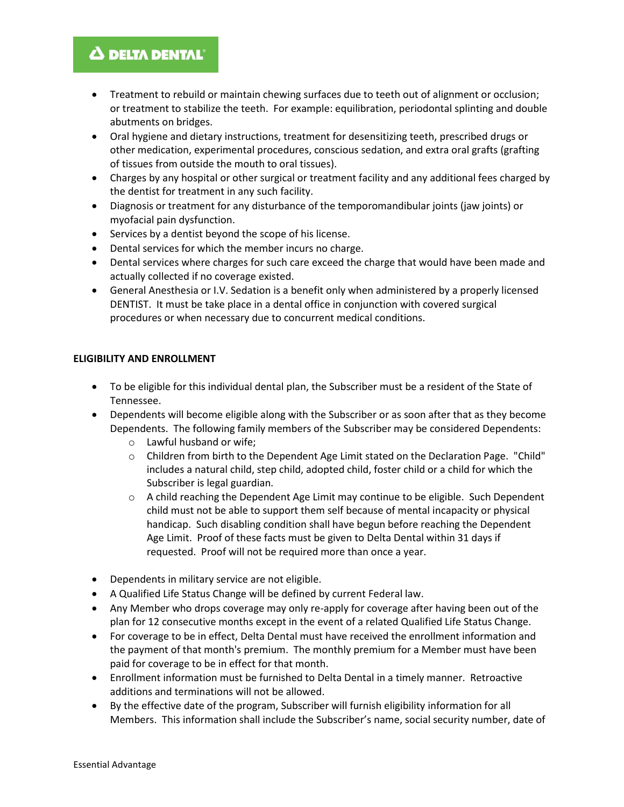## **A DELTA DENTAL**

- Treatment to rebuild or maintain chewing surfaces due to teeth out of alignment or occlusion; or treatment to stabilize the teeth. For example: equilibration, periodontal splinting and double abutments on bridges.
- Oral hygiene and dietary instructions, treatment for desensitizing teeth, prescribed drugs or other medication, experimental procedures, conscious sedation, and extra oral grafts (grafting of tissues from outside the mouth to oral tissues).
- Charges by any hospital or other surgical or treatment facility and any additional fees charged by the dentist for treatment in any such facility.
- Diagnosis or treatment for any disturbance of the temporomandibular joints (jaw joints) or myofacial pain dysfunction.
- Services by a dentist beyond the scope of his license.
- Dental services for which the member incurs no charge.
- Dental services where charges for such care exceed the charge that would have been made and actually collected if no coverage existed.
- General Anesthesia or I.V. Sedation is a benefit only when administered by a properly licensed DENTIST. It must be take place in a dental office in conjunction with covered surgical procedures or when necessary due to concurrent medical conditions.

### **ELIGIBILITY AND ENROLLMENT**

- To be eligible for this individual dental plan, the Subscriber must be a resident of the State of Tennessee.
- Dependents will become eligible along with the Subscriber or as soon after that as they become Dependents. The following family members of the Subscriber may be considered Dependents:
	- o Lawful husband or wife;
	- $\circ$  Children from birth to the Dependent Age Limit stated on the Declaration Page. "Child" includes a natural child, step child, adopted child, foster child or a child for which the Subscriber is legal guardian.
	- $\circ$  A child reaching the Dependent Age Limit may continue to be eligible. Such Dependent child must not be able to support them self because of mental incapacity or physical handicap. Such disabling condition shall have begun before reaching the Dependent Age Limit. Proof of these facts must be given to Delta Dental within 31 days if requested. Proof will not be required more than once a year.
- Dependents in military service are not eligible.
- A Qualified Life Status Change will be defined by current Federal law.
- Any Member who drops coverage may only re-apply for coverage after having been out of the plan for 12 consecutive months except in the event of a related Qualified Life Status Change.
- For coverage to be in effect, Delta Dental must have received the enrollment information and the payment of that month's premium. The monthly premium for a Member must have been paid for coverage to be in effect for that month.
- Enrollment information must be furnished to Delta Dental in a timely manner. Retroactive additions and terminations will not be allowed.
- By the effective date of the program, Subscriber will furnish eligibility information for all Members. This information shall include the Subscriber's name, social security number, date of